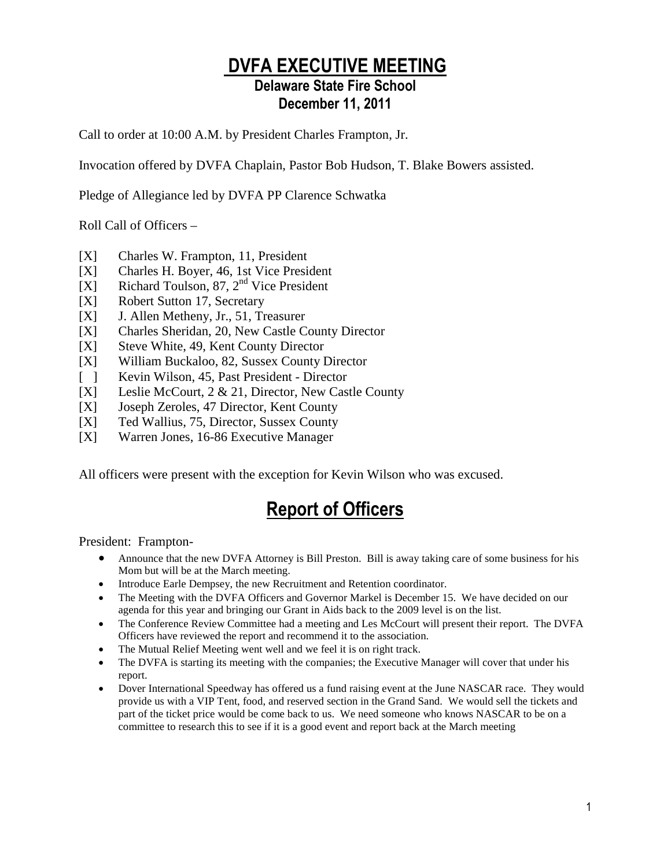### DVFA EXECUTIVE MEETING

### Delaware State Fire School December 11, 2011

Call to order at 10:00 A.M. by President Charles Frampton, Jr.

Invocation offered by DVFA Chaplain, Pastor Bob Hudson, T. Blake Bowers assisted.

Pledge of Allegiance led by DVFA PP Clarence Schwatka

Roll Call of Officers –

- [X] Charles W. Frampton, 11, President
- [X] Charles H. Boyer, 46, 1st Vice President
- [X] Richard Toulson,  $87, 2<sup>nd</sup>$  Vice President
- [X] Robert Sutton 17, Secretary
- [X] J. Allen Metheny, Jr., 51, Treasurer
- [X] Charles Sheridan, 20, New Castle County Director
- [X] Steve White, 49, Kent County Director
- [X] William Buckaloo, 82, Sussex County Director
- [ ] Kevin Wilson, 45, Past President Director
- [X] Leslie McCourt, 2 & 21, Director, New Castle County
- [X] Joseph Zeroles, 47 Director, Kent County
- [X] Ted Wallius, 75, Director, Sussex County
- [X] Warren Jones, 16-86 Executive Manager

All officers were present with the exception for Kevin Wilson who was excused.

# Report of Officers

President: Frampton-

- Announce that the new DVFA Attorney is Bill Preston. Bill is away taking care of some business for his Mom but will be at the March meeting.
- Introduce Earle Dempsey, the new Recruitment and Retention coordinator.
- The Meeting with the DVFA Officers and Governor Markel is December 15. We have decided on our agenda for this year and bringing our Grant in Aids back to the 2009 level is on the list.
- The Conference Review Committee had a meeting and Les McCourt will present their report. The DVFA Officers have reviewed the report and recommend it to the association.
- The Mutual Relief Meeting went well and we feel it is on right track.
- The DVFA is starting its meeting with the companies; the Executive Manager will cover that under his report.
- Dover International Speedway has offered us a fund raising event at the June NASCAR race. They would provide us with a VIP Tent, food, and reserved section in the Grand Sand. We would sell the tickets and part of the ticket price would be come back to us. We need someone who knows NASCAR to be on a committee to research this to see if it is a good event and report back at the March meeting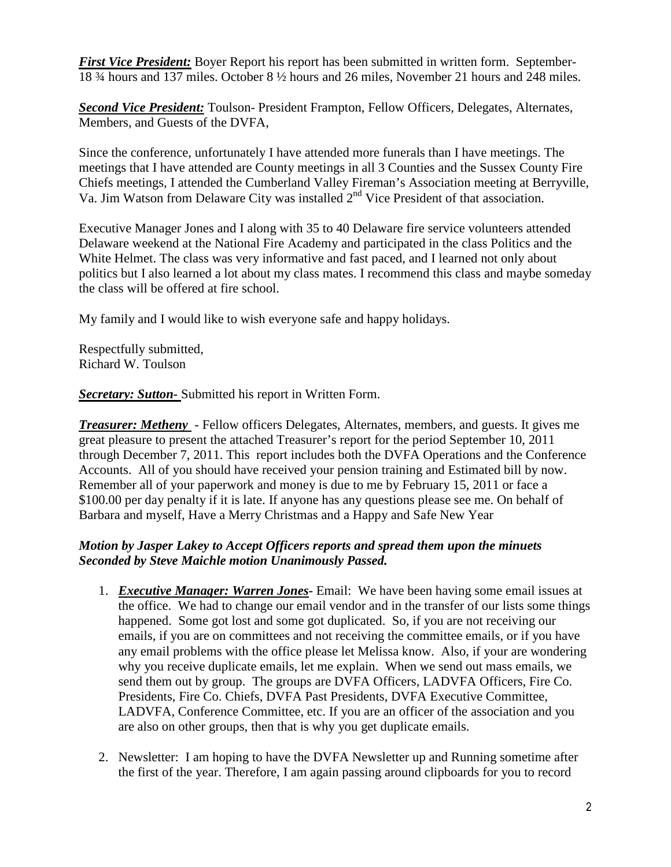*First Vice President:* Boyer Report his report has been submitted in written form. September-18 ¾ hours and 137 miles. October 8 ½ hours and 26 miles, November 21 hours and 248 miles.

**Second Vice President:** Toulson- President Frampton, Fellow Officers, Delegates, Alternates, Members, and Guests of the DVFA,

Since the conference, unfortunately I have attended more funerals than I have meetings. The meetings that I have attended are County meetings in all 3 Counties and the Sussex County Fire Chiefs meetings, I attended the Cumberland Valley Fireman's Association meeting at Berryville, Va. Jim Watson from Delaware City was installed 2<sup>nd</sup> Vice President of that association.

Executive Manager Jones and I along with 35 to 40 Delaware fire service volunteers attended Delaware weekend at the National Fire Academy and participated in the class Politics and the White Helmet. The class was very informative and fast paced, and I learned not only about politics but I also learned a lot about my class mates. I recommend this class and maybe someday the class will be offered at fire school.

My family and I would like to wish everyone safe and happy holidays.

Respectfully submitted, Richard W. Toulson

*Secretary: Sutton-* Submitted his report in Written Form.

*Treasurer: Metheny* - Fellow officers Delegates, Alternates, members, and guests. It gives me great pleasure to present the attached Treasurer's report for the period September 10, 2011 through December 7, 2011. This report includes both the DVFA Operations and the Conference Accounts. All of you should have received your pension training and Estimated bill by now. Remember all of your paperwork and money is due to me by February 15, 2011 or face a \$100.00 per day penalty if it is late. If anyone has any questions please see me. On behalf of Barbara and myself, Have a Merry Christmas and a Happy and Safe New Year

#### *Motion by Jasper Lakey to Accept Officers reports and spread them upon the minuets Seconded by Steve Maichle motion Unanimously Passed.*

- 1. *Executive Manager: Warren Jones*Email: We have been having some email issues at the office. We had to change our email vendor and in the transfer of our lists some things happened. Some got lost and some got duplicated. So, if you are not receiving our emails, if you are on committees and not receiving the committee emails, or if you have any email problems with the office please let Melissa know. Also, if your are wondering why you receive duplicate emails, let me explain. When we send out mass emails, we send them out by group. The groups are DVFA Officers, LADVFA Officers, Fire Co. Presidents, Fire Co. Chiefs, DVFA Past Presidents, DVFA Executive Committee, LADVFA, Conference Committee, etc. If you are an officer of the association and you are also on other groups, then that is why you get duplicate emails.
- 2. Newsletter: I am hoping to have the DVFA Newsletter up and Running sometime after the first of the year. Therefore, I am again passing around clipboards for you to record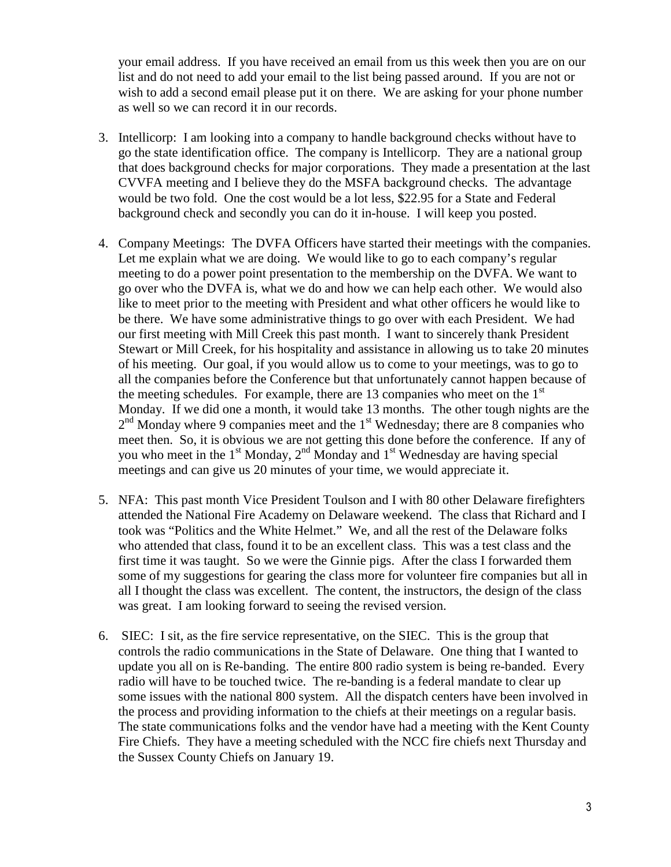your email address. If you have received an email from us this week then you are on our list and do not need to add your email to the list being passed around. If you are not or wish to add a second email please put it on there. We are asking for your phone number as well so we can record it in our records.

- 3. Intellicorp: I am looking into a company to handle background checks without have to go the state identification office. The company is Intellicorp. They are a national group that does background checks for major corporations. They made a presentation at the last CVVFA meeting and I believe they do the MSFA background checks. The advantage would be two fold. One the cost would be a lot less, \$22.95 for a State and Federal background check and secondly you can do it in-house. I will keep you posted.
- 4. Company Meetings: The DVFA Officers have started their meetings with the companies. Let me explain what we are doing. We would like to go to each company's regular meeting to do a power point presentation to the membership on the DVFA. We want to go over who the DVFA is, what we do and how we can help each other. We would also like to meet prior to the meeting with President and what other officers he would like to be there. We have some administrative things to go over with each President. We had our first meeting with Mill Creek this past month. I want to sincerely thank President Stewart or Mill Creek, for his hospitality and assistance in allowing us to take 20 minutes of his meeting. Our goal, if you would allow us to come to your meetings, was to go to all the companies before the Conference but that unfortunately cannot happen because of the meeting schedules. For example, there are 13 companies who meet on the  $1<sup>st</sup>$ Monday. If we did one a month, it would take 13 months. The other tough nights are the  $2<sup>nd</sup>$  Monday where 9 companies meet and the  $1<sup>st</sup>$  Wednesday; there are 8 companies who meet then. So, it is obvious we are not getting this done before the conference. If any of you who meet in the  $1<sup>st</sup>$  Monday,  $2<sup>nd</sup>$  Monday and  $1<sup>st</sup>$  Wednesday are having special meetings and can give us 20 minutes of your time, we would appreciate it.
- 5. NFA: This past month Vice President Toulson and I with 80 other Delaware firefighters attended the National Fire Academy on Delaware weekend. The class that Richard and I took was "Politics and the White Helmet." We, and all the rest of the Delaware folks who attended that class, found it to be an excellent class. This was a test class and the first time it was taught. So we were the Ginnie pigs. After the class I forwarded them some of my suggestions for gearing the class more for volunteer fire companies but all in all I thought the class was excellent. The content, the instructors, the design of the class was great. I am looking forward to seeing the revised version.
- 6. SIEC: I sit, as the fire service representative, on the SIEC. This is the group that controls the radio communications in the State of Delaware. One thing that I wanted to update you all on is Re-banding. The entire 800 radio system is being re-banded. Every radio will have to be touched twice. The re-banding is a federal mandate to clear up some issues with the national 800 system. All the dispatch centers have been involved in the process and providing information to the chiefs at their meetings on a regular basis. The state communications folks and the vendor have had a meeting with the Kent County Fire Chiefs. They have a meeting scheduled with the NCC fire chiefs next Thursday and the Sussex County Chiefs on January 19.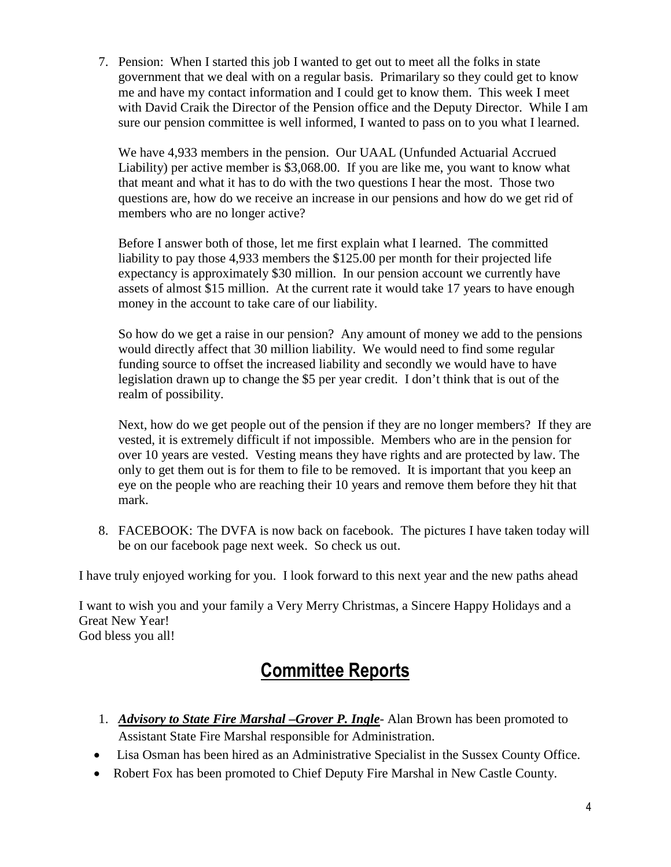7. Pension: When I started this job I wanted to get out to meet all the folks in state government that we deal with on a regular basis. Primarilary so they could get to know me and have my contact information and I could get to know them. This week I meet with David Craik the Director of the Pension office and the Deputy Director. While I am sure our pension committee is well informed, I wanted to pass on to you what I learned.

We have 4,933 members in the pension. Our UAAL (Unfunded Actuarial Accrued Liability) per active member is \$3,068.00. If you are like me, you want to know what that meant and what it has to do with the two questions I hear the most. Those two questions are, how do we receive an increase in our pensions and how do we get rid of members who are no longer active?

Before I answer both of those, let me first explain what I learned. The committed liability to pay those 4,933 members the \$125.00 per month for their projected life expectancy is approximately \$30 million. In our pension account we currently have assets of almost \$15 million. At the current rate it would take 17 years to have enough money in the account to take care of our liability.

So how do we get a raise in our pension? Any amount of money we add to the pensions would directly affect that 30 million liability. We would need to find some regular funding source to offset the increased liability and secondly we would have to have legislation drawn up to change the \$5 per year credit. I don't think that is out of the realm of possibility.

Next, how do we get people out of the pension if they are no longer members? If they are vested, it is extremely difficult if not impossible. Members who are in the pension for over 10 years are vested. Vesting means they have rights and are protected by law. The only to get them out is for them to file to be removed. It is important that you keep an eye on the people who are reaching their 10 years and remove them before they hit that mark.

8. FACEBOOK: The DVFA is now back on facebook. The pictures I have taken today will be on our facebook page next week. So check us out.

I have truly enjoyed working for you. I look forward to this next year and the new paths ahead

I want to wish you and your family a Very Merry Christmas, a Sincere Happy Holidays and a Great New Year! God bless you all!

# Committee Reports

- 1. *Advisory to State Fire Marshal –Grover P. Ingle* Alan Brown has been promoted to Assistant State Fire Marshal responsible for Administration.
- Lisa Osman has been hired as an Administrative Specialist in the Sussex County Office.
- Robert Fox has been promoted to Chief Deputy Fire Marshal in New Castle County.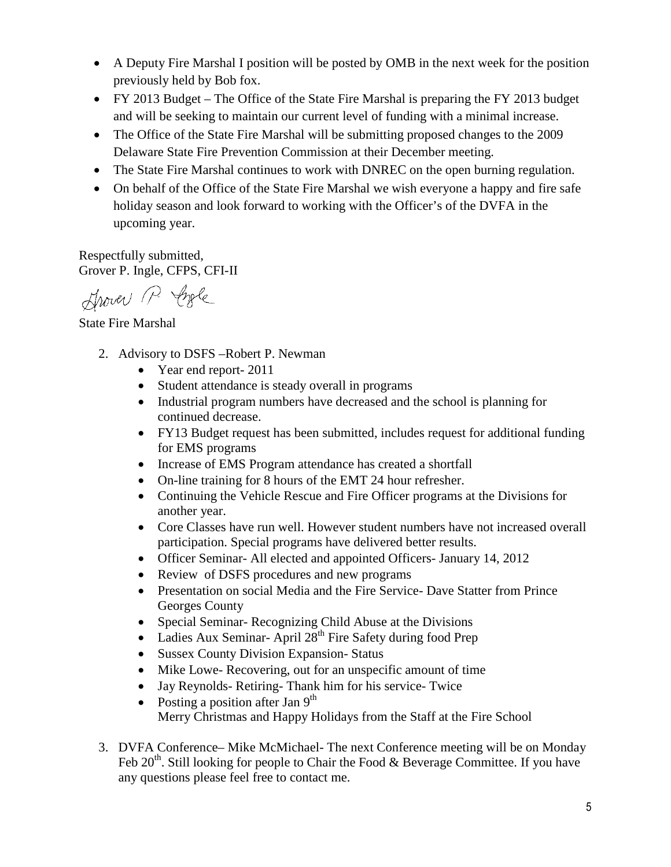- A Deputy Fire Marshal I position will be posted by OMB in the next week for the position previously held by Bob fox.
- FY 2013 Budget The Office of the State Fire Marshal is preparing the FY 2013 budget and will be seeking to maintain our current level of funding with a minimal increase.
- The Office of the State Fire Marshal will be submitting proposed changes to the 2009 Delaware State Fire Prevention Commission at their December meeting.
- The State Fire Marshal continues to work with DNREC on the open burning regulation.
- On behalf of the Office of the State Fire Marshal we wish everyone a happy and fire safe holiday season and look forward to working with the Officer's of the DVFA in the upcoming year.

Respectfully submitted, Grover P. Ingle, CFPS, CFI-II

Shower P. Ingle

State Fire Marshal

- 2. Advisory to DSFS –Robert P. Newman
	- Year end report- 2011
	- Student attendance is steady overall in programs
	- Industrial program numbers have decreased and the school is planning for continued decrease.
	- FY13 Budget request has been submitted, includes request for additional funding for EMS programs
	- Increase of EMS Program attendance has created a shortfall
	- On-line training for 8 hours of the EMT 24 hour refresher.
	- Continuing the Vehicle Rescue and Fire Officer programs at the Divisions for another year.
	- Core Classes have run well. However student numbers have not increased overall participation. Special programs have delivered better results.
	- Officer Seminar- All elected and appointed Officers- January 14, 2012
	- Review of DSFS procedures and new programs
	- Presentation on social Media and the Fire Service- Dave Statter from Prince Georges County
	- Special Seminar- Recognizing Child Abuse at the Divisions
	- Ladies Aux Seminar- April  $28<sup>th</sup>$  Fire Safety during food Prep
	- Sussex County Division Expansion-Status
	- Mike Lowe- Recovering, out for an unspecific amount of time
	- Jay Reynolds- Retiring- Thank him for his service- Twice
	- Posting a position after Jan  $9<sup>th</sup>$ Merry Christmas and Happy Holidays from the Staff at the Fire School
- 3. DVFA Conference– Mike McMichael- The next Conference meeting will be on Monday Feb  $20<sup>th</sup>$ . Still looking for people to Chair the Food & Beverage Committee. If you have any questions please feel free to contact me.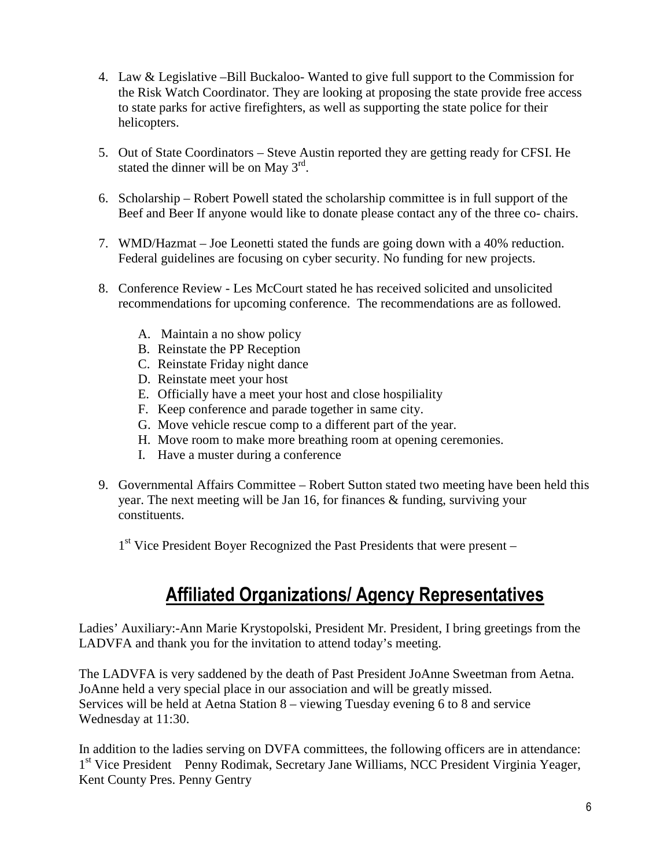- 4. Law & Legislative –Bill Buckaloo- Wanted to give full support to the Commission for the Risk Watch Coordinator. They are looking at proposing the state provide free access to state parks for active firefighters, as well as supporting the state police for their helicopters.
- 5. Out of State Coordinators Steve Austin reported they are getting ready for CFSI. He stated the dinner will be on May  $3^{rd}$ .
- 6. Scholarship Robert Powell stated the scholarship committee is in full support of the Beef and Beer If anyone would like to donate please contact any of the three co- chairs.
- 7. WMD/Hazmat Joe Leonetti stated the funds are going down with a 40% reduction. Federal guidelines are focusing on cyber security. No funding for new projects.
- 8. Conference Review Les McCourt stated he has received solicited and unsolicited recommendations for upcoming conference. The recommendations are as followed.
	- A. Maintain a no show policy
	- B. Reinstate the PP Reception
	- C. Reinstate Friday night dance
	- D. Reinstate meet your host
	- E. Officially have a meet your host and close hospiliality
	- F. Keep conference and parade together in same city.
	- G. Move vehicle rescue comp to a different part of the year.
	- H. Move room to make more breathing room at opening ceremonies.
	- I. Have a muster during a conference
- 9. Governmental Affairs Committee Robert Sutton stated two meeting have been held this year. The next meeting will be Jan 16, for finances & funding, surviving your constituents.

1<sup>st</sup> Vice President Boyer Recognized the Past Presidents that were present -

# Affiliated Organizations/ Agency Representatives

Ladies' Auxiliary:-Ann Marie Krystopolski, President Mr. President, I bring greetings from the LADVFA and thank you for the invitation to attend today's meeting.

The LADVFA is very saddened by the death of Past President JoAnne Sweetman from Aetna. JoAnne held a very special place in our association and will be greatly missed. Services will be held at Aetna Station 8 – viewing Tuesday evening 6 to 8 and service Wednesday at 11:30.

In addition to the ladies serving on DVFA committees, the following officers are in attendance: 1<sup>st</sup> Vice President Penny Rodimak, Secretary Jane Williams, NCC President Virginia Yeager, Kent County Pres. Penny Gentry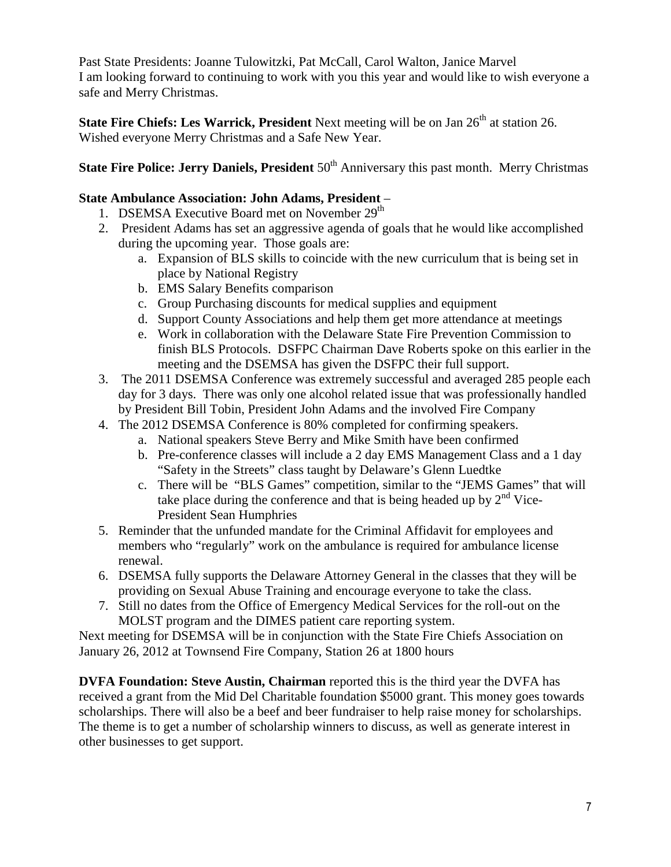Past State Presidents: Joanne Tulowitzki, Pat McCall, Carol Walton, Janice Marvel I am looking forward to continuing to work with you this year and would like to wish everyone a safe and Merry Christmas.

**State Fire Chiefs: Les Warrick, President** Next meeting will be on Jan 26<sup>th</sup> at station 26. Wished everyone Merry Christmas and a Safe New Year.

### **State Fire Police: Jerry Daniels, President** 50<sup>th</sup> Anniversary this past month. Merry Christmas

#### **State Ambulance Association: John Adams, President** –

- 1. DSEMSA Executive Board met on November 29<sup>th</sup>
- 2. President Adams has set an aggressive agenda of goals that he would like accomplished during the upcoming year. Those goals are:
	- a. Expansion of BLS skills to coincide with the new curriculum that is being set in place by National Registry
	- b. EMS Salary Benefits comparison
	- c. Group Purchasing discounts for medical supplies and equipment
	- d. Support County Associations and help them get more attendance at meetings
	- e. Work in collaboration with the Delaware State Fire Prevention Commission to finish BLS Protocols. DSFPC Chairman Dave Roberts spoke on this earlier in the meeting and the DSEMSA has given the DSFPC their full support.
- 3. The 2011 DSEMSA Conference was extremely successful and averaged 285 people each day for 3 days. There was only one alcohol related issue that was professionally handled by President Bill Tobin, President John Adams and the involved Fire Company
- 4. The 2012 DSEMSA Conference is 80% completed for confirming speakers.
	- a. National speakers Steve Berry and Mike Smith have been confirmed
	- b. Pre-conference classes will include a 2 day EMS Management Class and a 1 day "Safety in the Streets" class taught by Delaware's Glenn Luedtke
	- c. There will be "BLS Games" competition, similar to the "JEMS Games" that will take place during the conference and that is being headed up by  $2<sup>nd</sup>$  Vice-President Sean Humphries
- 5. Reminder that the unfunded mandate for the Criminal Affidavit for employees and members who "regularly" work on the ambulance is required for ambulance license renewal.
- 6. DSEMSA fully supports the Delaware Attorney General in the classes that they will be providing on Sexual Abuse Training and encourage everyone to take the class.
- 7. Still no dates from the Office of Emergency Medical Services for the roll-out on the MOLST program and the DIMES patient care reporting system.

Next meeting for DSEMSA will be in conjunction with the State Fire Chiefs Association on January 26, 2012 at Townsend Fire Company, Station 26 at 1800 hours

**DVFA Foundation: Steve Austin, Chairman** reported this is the third year the DVFA has received a grant from the Mid Del Charitable foundation \$5000 grant. This money goes towards scholarships. There will also be a beef and beer fundraiser to help raise money for scholarships. The theme is to get a number of scholarship winners to discuss, as well as generate interest in other businesses to get support.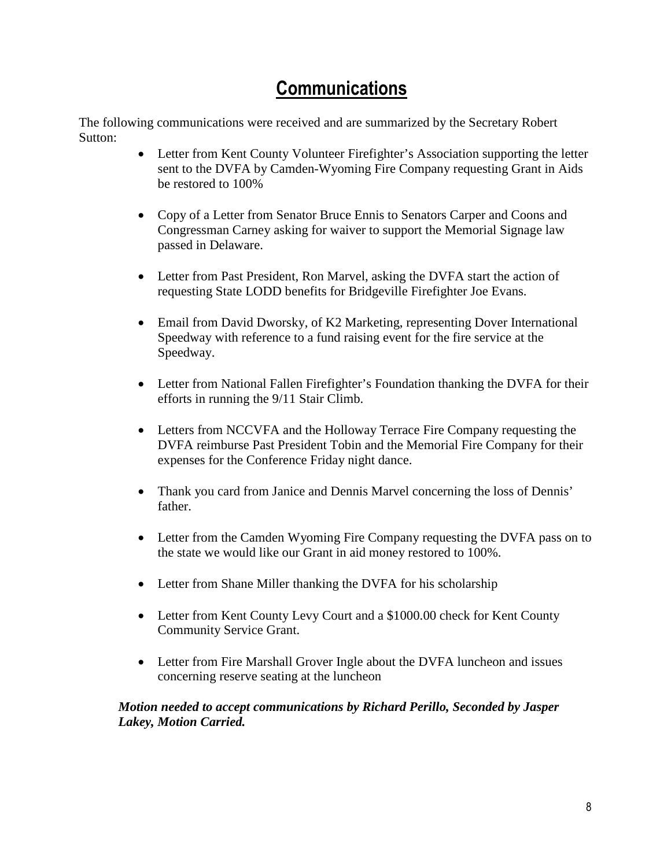# **Communications**

The following communications were received and are summarized by the Secretary Robert Sutton:

- Letter from Kent County Volunteer Firefighter's Association supporting the letter sent to the DVFA by Camden-Wyoming Fire Company requesting Grant in Aids be restored to 100%
- Copy of a Letter from Senator Bruce Ennis to Senators Carper and Coons and Congressman Carney asking for waiver to support the Memorial Signage law passed in Delaware.
- Letter from Past President, Ron Marvel, asking the DVFA start the action of requesting State LODD benefits for Bridgeville Firefighter Joe Evans.
- Email from David Dworsky, of K2 Marketing, representing Dover International Speedway with reference to a fund raising event for the fire service at the Speedway.
- Letter from National Fallen Firefighter's Foundation thanking the DVFA for their efforts in running the 9/11 Stair Climb.
- Letters from NCCVFA and the Holloway Terrace Fire Company requesting the DVFA reimburse Past President Tobin and the Memorial Fire Company for their expenses for the Conference Friday night dance.
- Thank you card from Janice and Dennis Marvel concerning the loss of Dennis' father.
- Letter from the Camden Wyoming Fire Company requesting the DVFA pass on to the state we would like our Grant in aid money restored to 100%.
- Letter from Shane Miller thanking the DVFA for his scholarship
- Letter from Kent County Levy Court and a \$1000.00 check for Kent County Community Service Grant.
- Letter from Fire Marshall Grover Ingle about the DVFA luncheon and issues concerning reserve seating at the luncheon

#### *Motion needed to accept communications by Richard Perillo, Seconded by Jasper Lakey, Motion Carried.*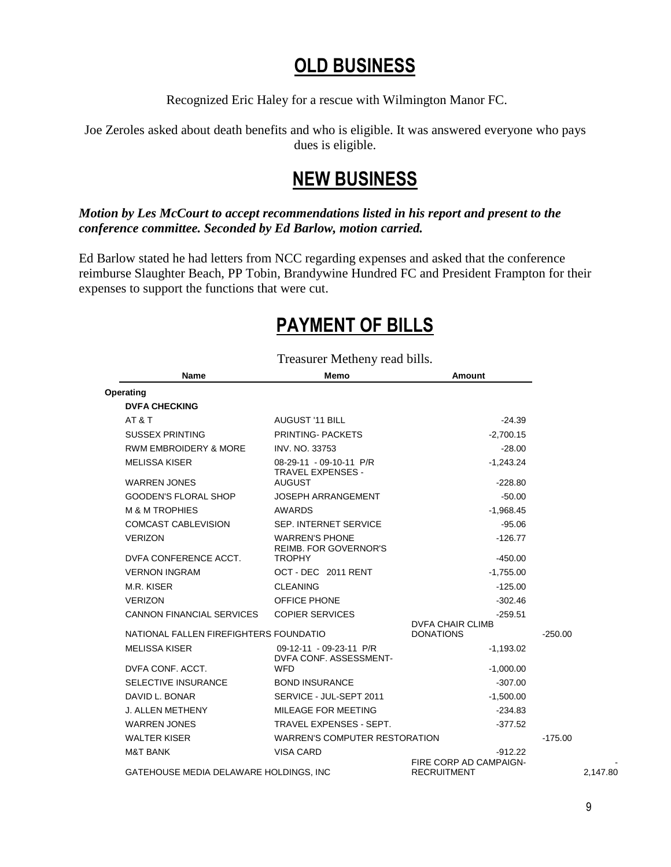# OLD BUSINESS

Recognized Eric Haley for a rescue with Wilmington Manor FC.

Joe Zeroles asked about death benefits and who is eligible. It was answered everyone who pays dues is eligible.

### NEW BUSINESS

#### *Motion by Les McCourt to accept recommendations listed in his report and present to the conference committee. Seconded by Ed Barlow, motion carried.*

Ed Barlow stated he had letters from NCC regarding expenses and asked that the conference reimburse Slaughter Beach, PP Tobin, Brandywine Hundred FC and President Frampton for their expenses to support the functions that were cut.

# PAYMENT OF BILLS

Treasurer Metheny read bills.

| <b>Name</b>                            | Memo                                                  | <b>Amount</b>                                |           |
|----------------------------------------|-------------------------------------------------------|----------------------------------------------|-----------|
| Operating                              |                                                       |                                              |           |
| <b>DVFA CHECKING</b>                   |                                                       |                                              |           |
| AT&T                                   | <b>AUGUST '11 BILL</b>                                | $-24.39$                                     |           |
| <b>SUSSEX PRINTING</b>                 | PRINTING-PACKETS                                      | $-2.700.15$                                  |           |
| <b>RWM EMBROIDERY &amp; MORE</b>       | <b>INV. NO. 33753</b>                                 | $-28.00$                                     |           |
| <b>MELISSA KISER</b>                   | 08-29-11 - 09-10-11 P/R<br><b>TRAVEL EXPENSES -</b>   | $-1,243.24$                                  |           |
| <b>WARREN JONES</b>                    | <b>AUGUST</b>                                         | $-228.80$                                    |           |
| <b>GOODEN'S FLORAL SHOP</b>            | <b>JOSEPH ARRANGEMENT</b>                             | $-50.00$                                     |           |
| <b>M &amp; M TROPHIES</b>              | AWARDS                                                | $-1.968.45$                                  |           |
| <b>COMCAST CABLEVISION</b>             | SEP. INTERNET SERVICE                                 | $-95.06$                                     |           |
| <b>VERIZON</b>                         | <b>WARREN'S PHONE</b><br><b>REIMB. FOR GOVERNOR'S</b> | $-126.77$                                    |           |
| DVFA CONFERENCE ACCT.                  | <b>TROPHY</b>                                         | $-450.00$                                    |           |
| <b>VERNON INGRAM</b>                   | OCT - DEC 2011 RENT                                   | $-1,755.00$                                  |           |
| M.R. KISER                             | <b>CLEANING</b>                                       | $-125.00$                                    |           |
| <b>VERIZON</b>                         | <b>OFFICE PHONE</b>                                   | $-302.46$                                    |           |
| <b>CANNON FINANCIAL SERVICES</b>       | <b>COPIER SERVICES</b>                                | $-259.51$                                    |           |
| NATIONAL FALLEN FIREFIGHTERS FOUNDATIO |                                                       | <b>DVFA CHAIR CLIMB</b><br><b>DONATIONS</b>  | $-250.00$ |
| <b>MELISSA KISER</b>                   | 09-12-11 - 09-23-11 P/R<br>DVFA CONF. ASSESSMENT-     | $-1,193.02$                                  |           |
| DVFA CONF, ACCT.                       | WFD                                                   | $-1,000.00$                                  |           |
| <b>SELECTIVE INSURANCE</b>             | <b>BOND INSURANCE</b>                                 | $-307.00$                                    |           |
| DAVID L. BONAR                         | SERVICE - JUL-SEPT 2011                               | $-1,500.00$                                  |           |
| J. ALLEN METHENY                       | MILEAGE FOR MEETING                                   | $-234.83$                                    |           |
| <b>WARREN JONES</b>                    | TRAVEL EXPENSES - SEPT.                               | $-377.52$                                    |           |
| <b>WALTER KISER</b>                    | <b>WARREN'S COMPUTER RESTORATION</b>                  |                                              | $-175.00$ |
| <b>M&amp;T BANK</b>                    | <b>VISA CARD</b>                                      | $-912.22$                                    |           |
| GATEHOUSE MEDIA DELAWARE HOLDINGS, INC |                                                       | FIRE CORP AD CAMPAIGN-<br><b>RECRUITMENT</b> |           |

- 2,147.80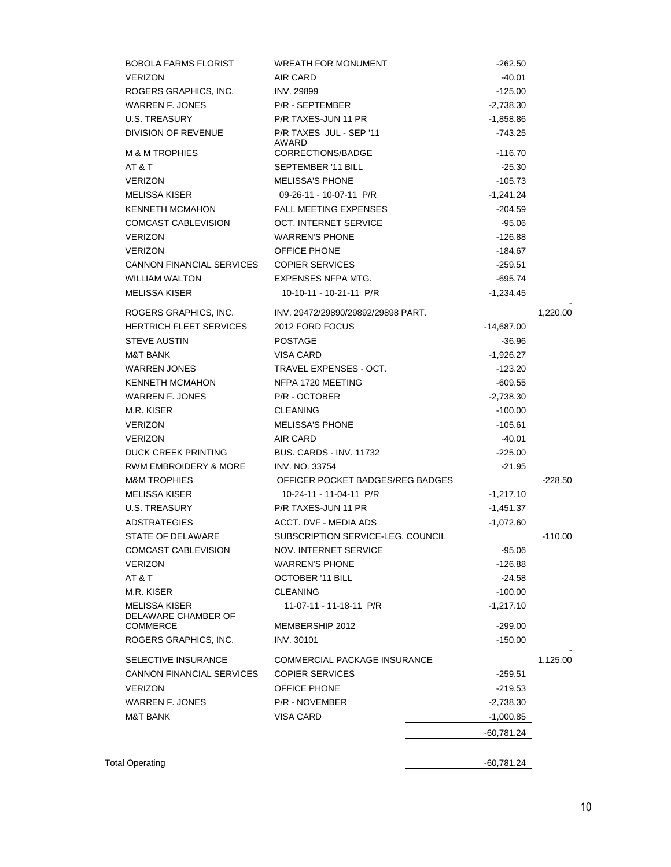| <b>BOBOLA FARMS FLORIST</b>                 | <b>WREATH FOR MONUMENT</b>         | $-262.50$    |           |
|---------------------------------------------|------------------------------------|--------------|-----------|
| <b>VERIZON</b>                              | AIR CARD                           | $-40.01$     |           |
| ROGERS GRAPHICS, INC.                       | <b>INV. 29899</b>                  | $-125.00$    |           |
| WARREN F. JONES                             | P/R - SEPTEMBER                    | $-2,738.30$  |           |
| U.S. TREASURY                               | P/R TAXES-JUN 11 PR                | $-1,858.86$  |           |
| DIVISION OF REVENUE                         | P/R TAXES JUL - SEP '11<br>AWARD   | $-743.25$    |           |
| <b>M &amp; M TROPHIES</b>                   | CORRECTIONS/BADGE                  | $-116.70$    |           |
| AT & T                                      | SEPTEMBER '11 BILL                 | $-25.30$     |           |
| <b>VERIZON</b>                              | <b>MELISSA'S PHONE</b>             | $-105.73$    |           |
| MELISSA KISER                               | 09-26-11 - 10-07-11 P/R            | $-1,241.24$  |           |
| KENNETH MCMAHON                             | <b>FALL MEETING EXPENSES</b>       | -204.59      |           |
| COMCAST CABLEVISION                         | OCT. INTERNET SERVICE              | $-95.06$     |           |
| <b>VERIZON</b>                              | <b>WARREN'S PHONE</b>              | -126.88      |           |
| <b>VERIZON</b>                              | <b>OFFICE PHONE</b>                | -184.67      |           |
| <b>CANNON FINANCIAL SERVICES</b>            | <b>COPIER SERVICES</b>             | $-259.51$    |           |
| WILLIAM WALTON                              | EXPENSES NFPA MTG.                 | -695.74      |           |
| <b>MELISSA KISER</b>                        | 10-10-11 - 10-21-11 P/R            | $-1,234.45$  |           |
| ROGERS GRAPHICS, INC.                       | INV. 29472/29890/29892/29898 PART. |              | 1,220.00  |
| <b>HERTRICH FLEET SERVICES</b>              | 2012 FORD FOCUS                    | $-14,687.00$ |           |
| <b>STEVE AUSTIN</b>                         | <b>POSTAGE</b>                     | $-36.96$     |           |
| <b>M&amp;T BANK</b>                         | VISA CARD                          | $-1,926.27$  |           |
| <b>WARREN JONES</b>                         | TRAVEL EXPENSES - OCT.             | -123.20      |           |
| KENNETH MCMAHON                             | NFPA 1720 MEETING                  | -609.55      |           |
| WARREN F. JONES                             | P/R - OCTOBER                      | $-2,738.30$  |           |
| M.R. KISER                                  | <b>CLEANING</b>                    | $-100.00$    |           |
| <b>VERIZON</b>                              | <b>MELISSA'S PHONE</b>             | $-105.61$    |           |
| <b>VERIZON</b>                              | AIR CARD                           | $-40.01$     |           |
| <b>DUCK CREEK PRINTING</b>                  | <b>BUS. CARDS - INV. 11732</b>     | $-225.00$    |           |
| RWM EMBROIDERY & MORE                       | <b>INV. NO. 33754</b>              | $-21.95$     |           |
| <b>M&amp;M TROPHIES</b>                     | OFFICER POCKET BADGES/REG BADGES   |              | $-228.50$ |
| MELISSA KISER                               | 10-24-11 - 11-04-11 P/R            | $-1,217.10$  |           |
| U.S. TREASURY                               | P/R TAXES-JUN 11 PR                | $-1,451.37$  |           |
| <b>ADSTRATEGIES</b>                         | ACCT. DVF - MEDIA ADS              | $-1,072.60$  |           |
| STATE OF DELAWARE                           | SUBSCRIPTION SERVICE-LEG. COUNCIL  |              | $-110.00$ |
| <b>COMCAST CABLEVISION</b>                  | <b>NOV. INTERNET SERVICE</b>       | $-95.06$     |           |
| <b>VERIZON</b>                              | <b>WARREN'S PHONE</b>              | -126.88      |           |
| AT & T                                      | <b>OCTOBER '11 BILL</b>            | $-24.58$     |           |
| M.R. KISER                                  | <b>CLEANING</b>                    | $-100.00$    |           |
| <b>MELISSA KISER</b><br>DELAWARE CHAMBER OF | 11-07-11 - 11-18-11 P/R            | $-1,217.10$  |           |
| <b>COMMERCE</b>                             | MEMBERSHIP 2012                    | $-299.00$    |           |
| ROGERS GRAPHICS, INC.                       | <b>INV. 30101</b>                  | $-150.00$    |           |
| SELECTIVE INSURANCE                         | COMMERCIAL PACKAGE INSURANCE       |              | 1,125.00  |
| <b>CANNON FINANCIAL SERVICES</b>            | <b>COPIER SERVICES</b>             | $-259.51$    |           |
| <b>VERIZON</b>                              | <b>OFFICE PHONE</b>                | $-219.53$    |           |
| WARREN F. JONES                             | P/R - NOVEMBER                     | $-2,738.30$  |           |
| <b>M&amp;T BANK</b>                         | <b>VISA CARD</b>                   | $-1,000.85$  |           |
|                                             |                                    | -60,781.24   |           |
|                                             |                                    |              |           |
| <b>Total Operating</b>                      |                                    | -60,781.24   |           |